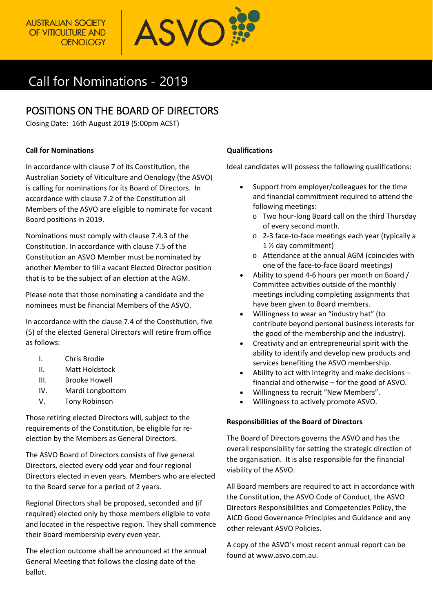

## Call for Nominations - 2019

### POSITIONS ON THE BOARD OF DIRECTORS

Closing Date: 16th August 2019 (5:00pm ACST)

#### **Call for Nominations**

In accordance with clause 7 of its Constitution, the Australian Society of Viticulture and Oenology (the ASVO) is calling for nominations for its Board of Directors. In accordance with clause 7.2 of the Constitution all Members of the ASVO are eligible to nominate for vacant Board positions in 2019.

Nominations must comply with clause 7.4.3 of the Constitution. In accordance with clause 7.5 of the Constitution an ASVO Member must be nominated by another Member to fill a vacant Elected Director position that is to be the subject of an election at the AGM.

Please note that those nominating a candidate and the nominees must be financial Members of the ASVO.

In accordance with the clause 7.4 of the Constitution, five (5) of the elected General Directors will retire from office as follows:

- I. Chris Brodie
- II. Matt Holdstock
- III. Brooke Howell
- IV. Mardi Longbottom
- V. Tony Robinson

Those retiring elected Directors will, subject to the requirements of the Constitution, be eligible for reelection by the Members as General Directors.

The ASVO Board of Directors consists of five general Directors, elected every odd year and four regional Directors elected in even years. Members who are elected to the Board serve for a period of 2 years.

Regional Directors shall be proposed, seconded and (if required) elected only by those members eligible to vote and located in the respective region. They shall commence their Board membership every even year.

The election outcome shall be announced at the annual General Meeting that follows the closing date of the ballot.

#### **Qualifications**

Ideal candidates will possess the following qualifications:

- Support from employer/colleagues for the time and financial commitment required to attend the following meetings:
	- o Two hour-long Board call on the third Thursday of every second month.
	- o 2-3 face-to-face meetings each year (typically a 1 ½ day commitment)
	- o Attendance at the annual AGM (coincides with one of the face-to-face Board meetings)
- Ability to spend 4-6 hours per month on Board / Committee activities outside of the monthly meetings including completing assignments that have been given to Board members.
- Willingness to wear an "industry hat" (to contribute beyond personal business interests for the good of the membership and the industry).
- Creativity and an entrepreneurial spirit with the ability to identify and develop new products and services benefiting the ASVO membership.
- Ability to act with integrity and make decisions financial and otherwise – for the good of ASVO.
- Willingness to recruit "New Members".
- Willingness to actively promote ASVO.

#### **Responsibilities of the Board of Directors**

The Board of Directors governs the ASVO and has the overall responsibility for setting the strategic direction of the organisation. It is also responsible for the financial viability of the ASVO.

All Board members are required to act in accordance with the Constitution, the ASVO Code of Conduct, the ASVO Directors Responsibilities and Competencies Policy, the AICD Good Governance Principles and Guidance and any other relevant ASVO Policies.

A copy of the ASVO's most recent annual report can be found at www.asvo.com.au.